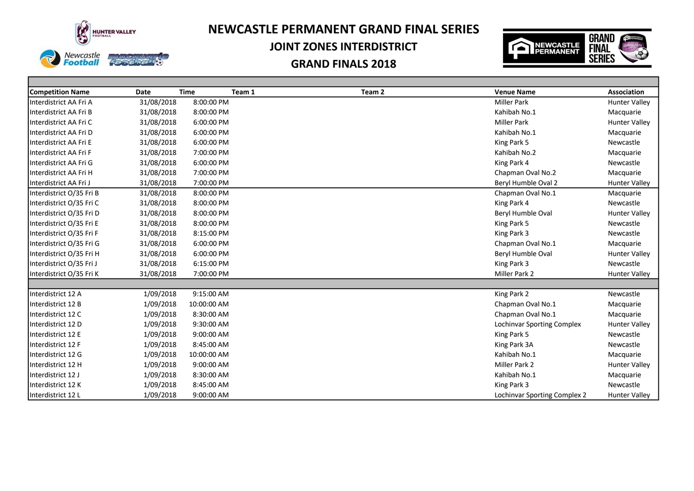

**Access CYTY** 

Newcastle<br>**Football** 

# **NEWCASTLE PERMANENT GRAND FINAL SERIES**

## **JOINT ZONES INTERDISTRICT**



| <b>Competition Name</b>  | Date       | <b>Time</b> | Team 1 | Team 2 | <b>Venue Name</b>            | <b>Association</b>   |
|--------------------------|------------|-------------|--------|--------|------------------------------|----------------------|
| Interdistrict AA Fri A   | 31/08/2018 | 8:00:00 PM  |        |        | <b>Miller Park</b>           | <b>Hunter Valley</b> |
| Interdistrict AA Fri B   | 31/08/2018 | 8:00:00 PM  |        |        | Kahibah No.1                 | Macquarie            |
| Interdistrict AA Fri C   | 31/08/2018 | 6:00:00 PM  |        |        | <b>Miller Park</b>           | <b>Hunter Valley</b> |
| Interdistrict AA Fri D   | 31/08/2018 | 6:00:00 PM  |        |        | Kahibah No.1                 | Macquarie            |
| Interdistrict AA Fri E   | 31/08/2018 | 6:00:00 PM  |        |        | King Park 5                  | Newcastle            |
| Interdistrict AA Fri F   | 31/08/2018 | 7:00:00 PM  |        |        | Kahibah No.2                 | Macquarie            |
| Interdistrict AA Fri G   | 31/08/2018 | 6:00:00 PM  |        |        | King Park 4                  | Newcastle            |
| Interdistrict AA Fri H   | 31/08/2018 | 7:00:00 PM  |        |        | Chapman Oval No.2            | Macquarie            |
| Interdistrict AA Fri J   | 31/08/2018 | 7:00:00 PM  |        |        | Beryl Humble Oval 2          | <b>Hunter Valley</b> |
| Interdistrict O/35 Fri B | 31/08/2018 | 8:00:00 PM  |        |        | Chapman Oval No.1            | Macquarie            |
| Interdistrict O/35 Fri C | 31/08/2018 | 8:00:00 PM  |        |        | King Park 4                  | Newcastle            |
| Interdistrict O/35 Fri D | 31/08/2018 | 8:00:00 PM  |        |        | Beryl Humble Oval            | <b>Hunter Valley</b> |
| Interdistrict O/35 Fri E | 31/08/2018 | 8:00:00 PM  |        |        | King Park 5                  | Newcastle            |
| Interdistrict O/35 Fri F | 31/08/2018 | 8:15:00 PM  |        |        | King Park 3                  | Newcastle            |
| Interdistrict O/35 Fri G | 31/08/2018 | 6:00:00 PM  |        |        | Chapman Oval No.1            | Macquarie            |
| Interdistrict O/35 Fri H | 31/08/2018 | 6:00:00 PM  |        |        | Beryl Humble Oval            | <b>Hunter Valley</b> |
| Interdistrict O/35 Fri J | 31/08/2018 | 6:15:00 PM  |        |        | King Park 3                  | Newcastle            |
| Interdistrict O/35 Fri K | 31/08/2018 | 7:00:00 PM  |        |        | Miller Park 2                | Hunter Valley        |
|                          |            |             |        |        |                              |                      |
| Interdistrict 12 A       | 1/09/2018  | 9:15:00 AM  |        |        | King Park 2                  | Newcastle            |
| Interdistrict 12 B       | 1/09/2018  | 10:00:00 AM |        |        | Chapman Oval No.1            | Macquarie            |
| Interdistrict 12 C       | 1/09/2018  | 8:30:00 AM  |        |        | Chapman Oval No.1            | Macquarie            |
| Interdistrict 12 D       | 1/09/2018  | 9:30:00 AM  |        |        | Lochinvar Sporting Complex   | <b>Hunter Valley</b> |
| Interdistrict 12 E       | 1/09/2018  | 9:00:00 AM  |        |        | King Park 5                  | Newcastle            |
| Interdistrict 12 F       | 1/09/2018  | 8:45:00 AM  |        |        | King Park 3A                 | Newcastle            |
| Interdistrict 12 G       | 1/09/2018  | 10:00:00 AM |        |        | Kahibah No.1                 | Macquarie            |
| Interdistrict 12 H       | 1/09/2018  | 9:00:00 AM  |        |        | Miller Park 2                | <b>Hunter Valley</b> |
| Interdistrict 12 J       | 1/09/2018  | 8:30:00 AM  |        |        | Kahibah No.1                 | Macquarie            |
| Interdistrict 12 K       | 1/09/2018  | 8:45:00 AM  |        |        | King Park 3                  | Newcastle            |
| Interdistrict 12 L       | 1/09/2018  | 9:00:00 AM  |        |        | Lochinvar Sporting Complex 2 | Hunter Valley        |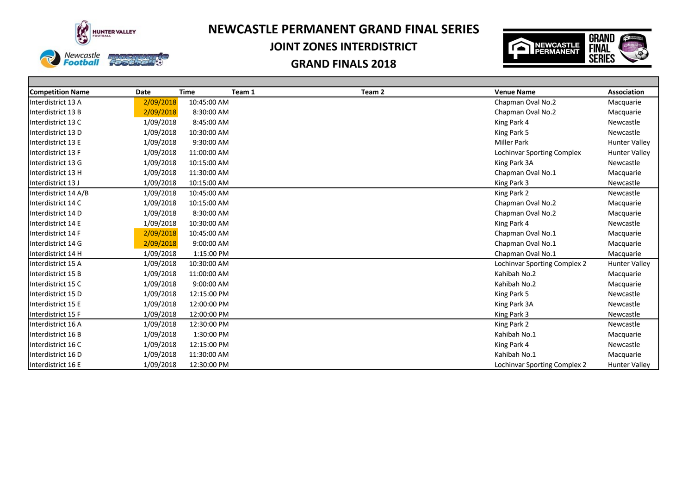

Fonthe

G

# **NEWCASTLE PERMANENT GRAND FINAL SERIES**

## **JOINT ZONES INTERDISTRICT**



| <b>Competition Name</b> | Date      | <b>Time</b> | Team 1 | Team 2 | <b>Venue Name</b>            | Association          |
|-------------------------|-----------|-------------|--------|--------|------------------------------|----------------------|
| Interdistrict 13 A      | 2/09/2018 | 10:45:00 AM |        |        | Chapman Oval No.2            | Macquarie            |
| Interdistrict 13 B      | 2/09/2018 | 8:30:00 AM  |        |        | Chapman Oval No.2            | Macquarie            |
| Interdistrict 13 C      | 1/09/2018 | 8:45:00 AM  |        |        | King Park 4                  | Newcastle            |
| Interdistrict 13 D      | 1/09/2018 | 10:30:00 AM |        |        | King Park 5                  | Newcastle            |
| Interdistrict 13 E      | 1/09/2018 | 9:30:00 AM  |        |        | <b>Miller Park</b>           | <b>Hunter Valley</b> |
| Interdistrict 13 F      | 1/09/2018 | 11:00:00 AM |        |        | Lochinvar Sporting Complex   | <b>Hunter Valley</b> |
| Interdistrict 13 G      | 1/09/2018 | 10:15:00 AM |        |        | King Park 3A                 | Newcastle            |
| Interdistrict 13 H      | 1/09/2018 | 11:30:00 AM |        |        | Chapman Oval No.1            | Macquarie            |
| Interdistrict 13 J      | 1/09/2018 | 10:15:00 AM |        |        | King Park 3                  | Newcastle            |
| Interdistrict 14 A/B    | 1/09/2018 | 10:45:00 AM |        |        | King Park 2                  | Newcastle            |
| Interdistrict 14 C      | 1/09/2018 | 10:15:00 AM |        |        | Chapman Oval No.2            | Macquarie            |
| Interdistrict 14 D      | 1/09/2018 | 8:30:00 AM  |        |        | Chapman Oval No.2            | Macquarie            |
| Interdistrict 14 E      | 1/09/2018 | 10:30:00 AM |        |        | King Park 4                  | Newcastle            |
| Interdistrict 14 F      | 2/09/2018 | 10:45:00 AM |        |        | Chapman Oval No.1            | Macquarie            |
| Interdistrict 14 G      | 2/09/2018 | 9:00:00 AM  |        |        | Chapman Oval No.1            | Macquarie            |
| Interdistrict 14 H      | 1/09/2018 | 1:15:00 PM  |        |        | Chapman Oval No.1            | Macquarie            |
| Interdistrict 15 A      | 1/09/2018 | 10:30:00 AM |        |        | Lochinvar Sporting Complex 2 | <b>Hunter Valley</b> |
| Interdistrict 15 B      | 1/09/2018 | 11:00:00 AM |        |        | Kahibah No.2                 | Macquarie            |
| Interdistrict 15 C      | 1/09/2018 | 9:00:00 AM  |        |        | Kahibah No.2                 | Macquarie            |
| Interdistrict 15 D      | 1/09/2018 | 12:15:00 PM |        |        | King Park 5                  | Newcastle            |
| Interdistrict 15 E      | 1/09/2018 | 12:00:00 PM |        |        | King Park 3A                 | Newcastle            |
| Interdistrict 15 F      | 1/09/2018 | 12:00:00 PM |        |        | King Park 3                  | Newcastle            |
| Interdistrict 16 A      | 1/09/2018 | 12:30:00 PM |        |        | King Park 2                  | Newcastle            |
| Interdistrict 16 B      | 1/09/2018 | 1:30:00 PM  |        |        | Kahibah No.1                 | Macquarie            |
| Interdistrict 16 C      | 1/09/2018 | 12:15:00 PM |        |        | King Park 4                  | Newcastle            |
| Interdistrict 16 D      | 1/09/2018 | 11:30:00 AM |        |        | Kahibah No.1                 | Macquarie            |
| Interdistrict 16 E      | 1/09/2018 | 12:30:00 PM |        |        | Lochinvar Sporting Complex 2 | <b>Hunter Valley</b> |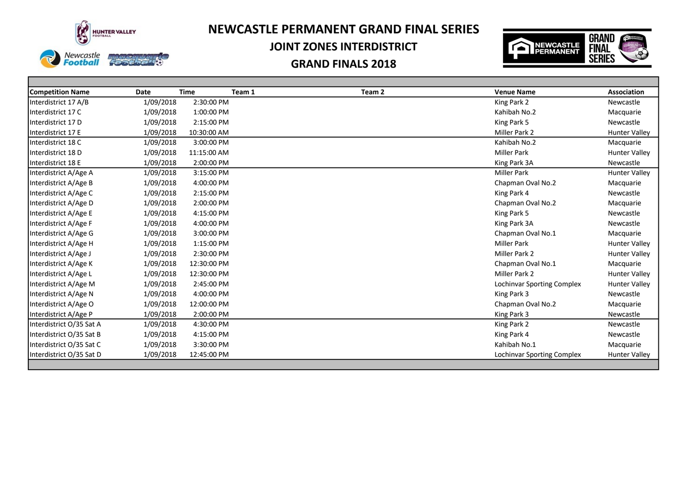

# **NEWCASTLE PERMANENT GRAND FINAL SERIES**

## **JOINT ZONES INTERDISTRICT**





| <b>Competition Name</b>  | Date      | <b>Time</b> | Team 1 | Team 2 | <b>Venue Name</b>          | <b>Association</b>   |
|--------------------------|-----------|-------------|--------|--------|----------------------------|----------------------|
| Interdistrict 17 A/B     | 1/09/2018 | 2:30:00 PM  |        |        | King Park 2                | Newcastle            |
| Interdistrict 17 C       | 1/09/2018 | 1:00:00 PM  |        |        | Kahibah No.2               | Macquarie            |
| Interdistrict 17 D       | 1/09/2018 | 2:15:00 PM  |        |        | King Park 5                | Newcastle            |
| Interdistrict 17 E       | 1/09/2018 | 10:30:00 AM |        |        | Miller Park 2              | <b>Hunter Valley</b> |
| Interdistrict 18 C       | 1/09/2018 | 3:00:00 PM  |        |        | Kahibah No.2               | Macquarie            |
| Interdistrict 18 D       | 1/09/2018 | 11:15:00 AM |        |        | <b>Miller Park</b>         | <b>Hunter Valley</b> |
| Interdistrict 18 E       | 1/09/2018 | 2:00:00 PM  |        |        | King Park 3A               | Newcastle            |
| Interdistrict A/Age A    | 1/09/2018 | 3:15:00 PM  |        |        | <b>Miller Park</b>         | <b>Hunter Valley</b> |
| Interdistrict A/Age B    | 1/09/2018 | 4:00:00 PM  |        |        | Chapman Oval No.2          | Macquarie            |
| Interdistrict A/Age C    | 1/09/2018 | 2:15:00 PM  |        |        | King Park 4                | Newcastle            |
| Interdistrict A/Age D    | 1/09/2018 | 2:00:00 PM  |        |        | Chapman Oval No.2          | Macquarie            |
| Interdistrict A/Age E    | 1/09/2018 | 4:15:00 PM  |        |        | King Park 5                | Newcastle            |
| Interdistrict A/Age F    | 1/09/2018 | 4:00:00 PM  |        |        | King Park 3A               | Newcastle            |
| Interdistrict A/Age G    | 1/09/2018 | 3:00:00 PM  |        |        | Chapman Oval No.1          | Macquarie            |
| Interdistrict A/Age H    | 1/09/2018 | 1:15:00 PM  |        |        | <b>Miller Park</b>         | <b>Hunter Valley</b> |
| Interdistrict A/Age J    | 1/09/2018 | 2:30:00 PM  |        |        | Miller Park 2              | <b>Hunter Valley</b> |
| Interdistrict A/Age K    | 1/09/2018 | 12:30:00 PM |        |        | Chapman Oval No.1          | Macquarie            |
| Interdistrict A/Age L    | 1/09/2018 | 12:30:00 PM |        |        | Miller Park 2              | <b>Hunter Valley</b> |
| Interdistrict A/Age M    | 1/09/2018 | 2:45:00 PM  |        |        | Lochinvar Sporting Complex | <b>Hunter Valley</b> |
| Interdistrict A/Age N    | 1/09/2018 | 4:00:00 PM  |        |        | King Park 3                | Newcastle            |
| Interdistrict A/Age O    | 1/09/2018 | 12:00:00 PM |        |        | Chapman Oval No.2          | Macquarie            |
| Interdistrict A/Age P    | 1/09/2018 | 2:00:00 PM  |        |        | King Park 3                | Newcastle            |
| Interdistrict O/35 Sat A | 1/09/2018 | 4:30:00 PM  |        |        | King Park 2                | Newcastle            |
| Interdistrict O/35 Sat B | 1/09/2018 | 4:15:00 PM  |        |        | King Park 4                | Newcastle            |
| Interdistrict O/35 Sat C | 1/09/2018 | 3:30:00 PM  |        |        | Kahibah No.1               | Macquarie            |
| Interdistrict O/35 Sat D | 1/09/2018 | 12:45:00 PM |        |        | Lochinvar Sporting Complex | <b>Hunter Valley</b> |